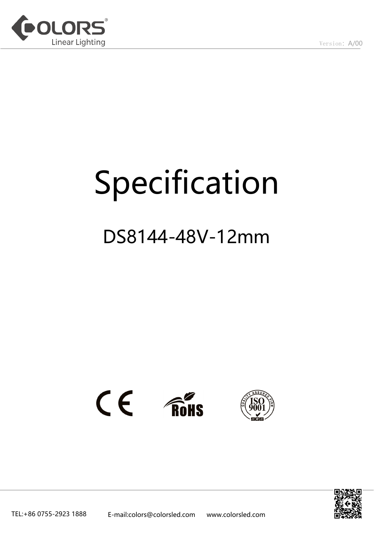

# Specification

# DS8144-48V-12mm



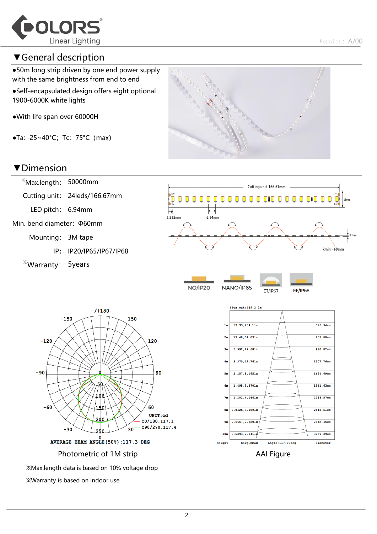

#### ▼General description

●50m long strip driven by one end power supply with the same brightness from end to end

- ●Self-encapsulated design offers eight optional 1900-6000K white lights
- ●With life span over 60000H
- $\bullet$ Ta: -25~40°C; Tc: 75°C (max)



#### ▼Dimension



- IP: IP20/IP65/IP67/IP68
- ※Warranty: 5years



**NO/IP20** 

NANO/IP65

**EF/IP68 ET/IP67** 





※Max.length data is based on 10% voltage drop ※Warranty is based on indoor use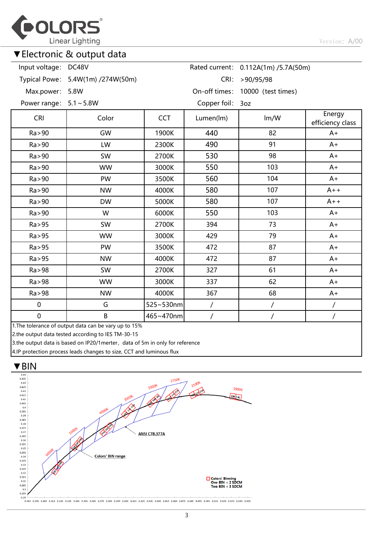

#### ▼Electronic & output data

#### 0.112A(1m) /5.7A(50m) Rated current: >90/95/98 CRI: Input voltage: DC48V

Typical Powe: 5.4W(1m) /274W(50m)

Max.power: 5.8W

On-off times: 10000 (test times)

Power range: 5.1~5.8W

Copper foil: 3oz

| <b>CRI</b>  | Color                                                    | <b>CCT</b> | Lumen(lm) | Im/W | Energy<br>efficiency class |  |
|-------------|----------------------------------------------------------|------------|-----------|------|----------------------------|--|
| Ra > 90     | GW                                                       | 1900K      | 440       | 82   | $A+$                       |  |
| Ra > 90     | LW                                                       | 2300K      | 490       | 91   | $A+$                       |  |
| Ra > 90     | SW                                                       | 2700K      | 530       | 98   | $A+$                       |  |
| Ra > 90     | <b>WW</b>                                                | 3000K      | 550       | 103  | $A+$                       |  |
| Ra > 90     | PW                                                       | 3500K      | 560       | 104  | $A+$                       |  |
| Ra > 90     | <b>NW</b>                                                | 4000K      | 580       | 107  | $A++$                      |  |
| Ra > 90     | <b>DW</b>                                                | 5000K      | 580       | 107  | $A++$                      |  |
| Ra > 90     | W                                                        | 6000K      | 550       | 103  | $A+$                       |  |
| Ra > 95     | SW                                                       | 2700K      | 394       | 73   | $A+$                       |  |
| Ra > 95     | <b>WW</b>                                                | 3000K      | 429       | 79   | $A+$                       |  |
| Ra > 95     | PW                                                       | 3500K      | 472       | 87   | $A+$                       |  |
| Ra > 95     | <b>NW</b>                                                | 4000K      | 472       | 87   | $A+$                       |  |
| Ra > 98     | SW                                                       | 2700K      | 327       | 61   | $A+$                       |  |
| Ra > 98     | <b>WW</b>                                                | 3000K      | 337       | 62   | $A+$                       |  |
| Ra > 98     | <b>NW</b>                                                | 4000K      | 367       | 68   | $A+$                       |  |
| $\pmb{0}$   | G                                                        | 525~530nm  |           |      |                            |  |
| $\mathbf 0$ | B<br>1 The tolerance of output data can be vancup to 15% | 465~470nm  |           |      |                            |  |

1.The tolerance of output data can be vary up to 15%

2.the output data tested according to IES TM-30-15

3.the output data is based on IP20/1merter, data of 5m in only for reference

4.IP protection process leads changes to size, CCT and luminous flux

# ▼BIN  $0.44$



--<br>| 0.285 0.295 0.305 0.315 0.325 0.335 0.345 0.355 0.365 0.385 0.405 0.415 0.425 0.435 0.455 0.465 0.455 0.485 0.485 0.495 0.505 0.515 0.525 0.535 0.545 0.555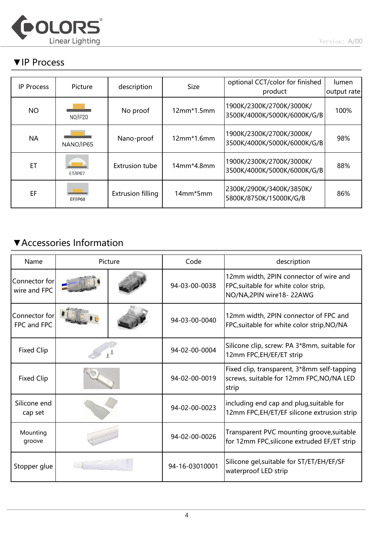

#### ▼IP Process

| <b>IP Process</b> | Picture        | description              | <b>Size</b>       | optional CCT/color for finished<br>product              | lumen<br>output rate |
|-------------------|----------------|--------------------------|-------------------|---------------------------------------------------------|----------------------|
| <b>NO</b>         | <b>NO/IP20</b> | No proof                 | $12mm*1.5mm$      | 1900K/2300K/2700K/3000K/<br>3500K/4000K/5000K/6000K/G/B | 100%                 |
| <b>NA</b>         | NANO/IP65      | Nano-proof               | $12mm*1.6mm$      | 1900K/2300K/2700K/3000K/<br>3500K/4000K/5000K/6000K/G/B | 98%                  |
| ET                | <b>ET/IP67</b> | <b>Extrusion tube</b>    | $14$ mm $*4.8$ mm | 1900K/2300K/2700K/3000K/<br>3500K/4000K/5000K/6000K/G/B | 88%                  |
| EF                | <b>EF/IP68</b> | <b>Extrusion filling</b> | 14mm*5mm          | 2300K/2900K/3400K/3850K/<br>5800K/8750K/15000K/G/B      | 86%                  |

## ▼Accessories Information

| Name                          | Picture |                | Code                                                              | description                                                                                               |  |  |
|-------------------------------|---------|----------------|-------------------------------------------------------------------|-----------------------------------------------------------------------------------------------------------|--|--|
| Connector for<br>wire and FPC |         |                | 94-03-00-0038                                                     | 12mm width, 2PIN connector of wire and<br>FPC, suitable for white color strip,<br>NO/NA,2PIN wire18-22AWG |  |  |
| Connector for<br>FPC and FPC  |         |                | 94-03-00-0040                                                     | 12mm width, 2PIN connector of FPC and<br>FPC, suitable for white color strip, NO/NA                       |  |  |
| <b>Fixed Clip</b>             |         |                | 94-02-00-0004                                                     | Silicone clip, screw: PA 3*8mm, suitable for<br>12mm FPC, EH/EF/ET strip                                  |  |  |
| <b>Fixed Clip</b>             |         |                | 94-02-00-0019                                                     | Fixed clip, transparent, 3*8mm self-tapping<br>screws, suitable for 12mm FPC, NO/NA LED<br>strip          |  |  |
| Silicone end<br>cap set       |         |                | 94-02-00-0023                                                     | including end cap and plug, suitable for<br>12mm FPC, EH/ET/EF silicone extrusion strip                   |  |  |
| Mounting<br>groove            |         |                | 94-02-00-0026                                                     | Transparent PVC mounting groove, suitable<br>for 12mm FPC, silicone extruded EF/ET strip                  |  |  |
| Stopper glue                  |         | 94-16-03010001 | Silicone gel, suitable for ST/ET/EH/EF/SF<br>waterproof LED strip |                                                                                                           |  |  |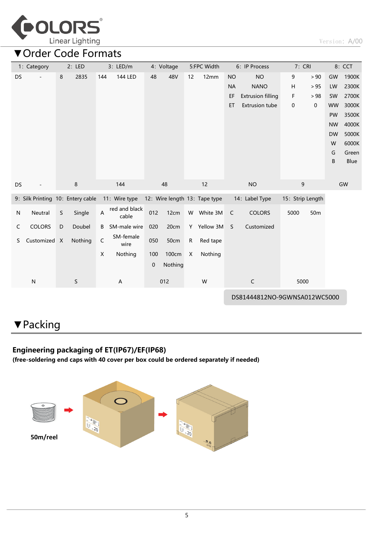

## ▼Order Code Formats

|              | 1: Category                       |             | 2: LED      |     | 3: LED/m                  |           | 4: Voltage |                           | 5:FPC Width                   | 6: IP Process                |                          | 7: CRI           |      | 8: CCT    |             |
|--------------|-----------------------------------|-------------|-------------|-----|---------------------------|-----------|------------|---------------------------|-------------------------------|------------------------------|--------------------------|------------------|------|-----------|-------------|
| DS           |                                   | 8           | 2835        | 144 | 144 LED                   | 48        | 48V        | 12                        | 12mm                          | <b>NO</b>                    | <b>NO</b>                | 9                | > 90 | GW        | 1900K       |
|              |                                   |             |             |     |                           |           |            |                           |                               | <b>NA</b>                    | <b>NANO</b>              | H                | > 95 | LW        | 2300K       |
|              |                                   |             |             |     |                           |           |            |                           |                               | EF                           | <b>Extrusion filling</b> | F                | > 98 | SW        | 2700K       |
|              |                                   |             |             |     |                           |           |            |                           |                               | ET                           | <b>Extrusion tube</b>    | 0                | 0    | <b>WW</b> | 3000K       |
|              |                                   |             |             |     |                           |           |            |                           |                               |                              |                          |                  |      | PW        | 3500K       |
|              |                                   |             |             |     |                           |           |            |                           |                               |                              |                          |                  |      | <b>NW</b> | 4000K       |
|              |                                   |             |             |     |                           |           |            |                           |                               |                              |                          |                  |      | <b>DW</b> | 5000K       |
|              |                                   |             |             |     |                           |           |            |                           |                               |                              |                          |                  |      | W         | 6000K       |
|              |                                   |             |             |     |                           |           |            |                           |                               |                              |                          |                  |      | G         | Green       |
|              |                                   |             |             |     |                           |           |            |                           |                               |                              |                          |                  |      | B         | <b>Blue</b> |
|              |                                   |             |             |     |                           |           |            |                           |                               |                              |                          |                  |      |           |             |
| DS           |                                   |             | 8           |     | 144                       |           | 48         |                           | 12                            |                              | <b>NO</b>                | 9                |      |           | GW          |
|              | 9: Silk Printing 10: Entery cable |             |             |     | 11: Wire type             |           |            |                           | 12: Wire length 13: Tape type |                              | 14: Label Type           | 15: Strip Length |      |           |             |
| N            | Neutral                           | $\mathsf S$ | Single      | Α   | red and black<br>cable    | 012       | 12cm       |                           | W White 3M                    | C                            | <b>COLORS</b>            | 5000             | 50m  |           |             |
| $\mathsf{C}$ | <b>COLORS</b>                     | $\mathsf D$ | Doubel      | B   | SM-male wire              | 020       | 20cm       |                           | Y Yellow 3M                   | S                            | Customized               |                  |      |           |             |
| S            | Customized X                      |             | Nothing     | C   | SM-female<br>wire         | 050       | 50cm       | ${\sf R}$                 | Red tape                      |                              |                          |                  |      |           |             |
|              |                                   |             |             | X   | Nothing                   | 100       | 100cm      | $\boldsymbol{\mathsf{X}}$ | Nothing                       |                              |                          |                  |      |           |             |
|              |                                   |             |             |     |                           | $\pmb{0}$ | Nothing    |                           |                               |                              |                          |                  |      |           |             |
|              |                                   |             |             |     |                           |           |            |                           |                               |                              |                          |                  |      |           |             |
|              | ${\sf N}$                         |             | $\mathsf S$ |     | $\boldsymbol{\mathsf{A}}$ |           | 012        |                           | W                             |                              | $\mathsf C$              | 5000             |      |           |             |
|              |                                   |             |             |     |                           |           |            |                           |                               | DS81444812NO-9GWNSA012WC5000 |                          |                  |      |           |             |

# ▼Packing

#### Engineering packaging of ET(IP67)/EF(IP68)

(free-soldering end caps with 40 cover per box could be ordered separately if needed)